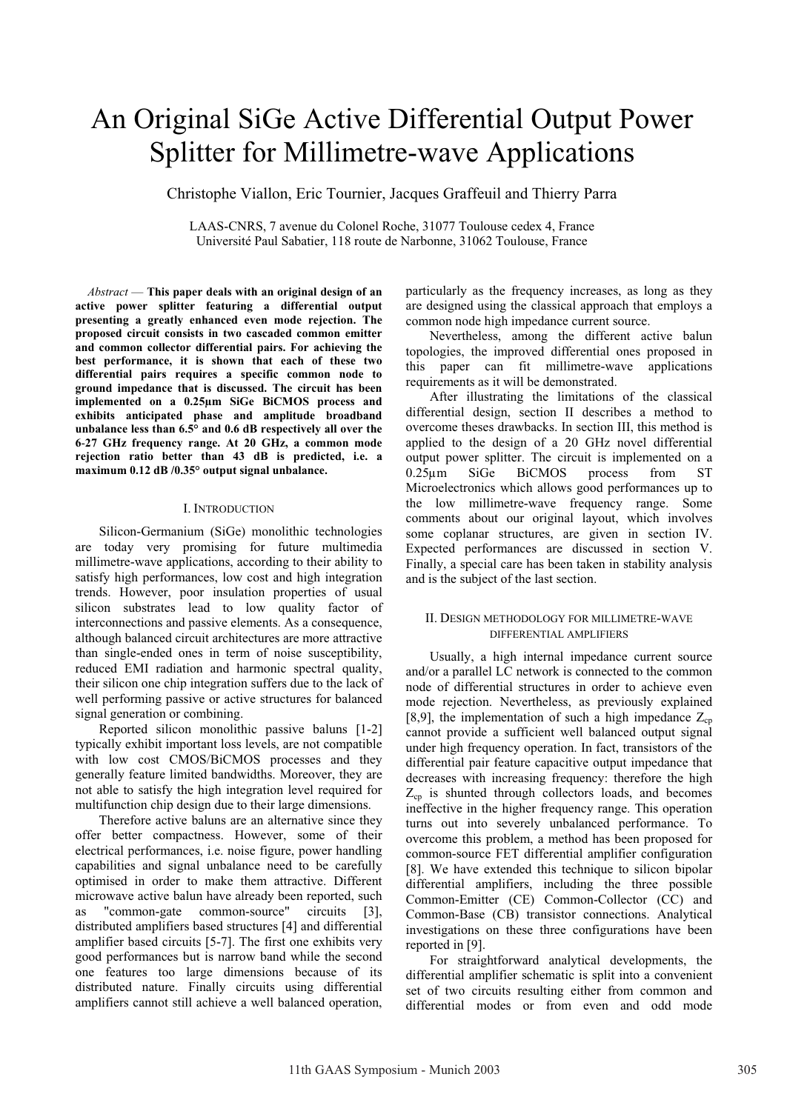# An Original SiGe Active Differential Output Power Splitter for Millimetre-wave Applications

Christophe Viallon, Eric Tournier, Jacques Graffeuil and Thierry Parra

LAAS-CNRS, 7 avenue du Colonel Roche, 31077 Toulouse cedex 4, France Université Paul Sabatier, 118 route de Narbonne, 31062 Toulouse, France

*Abstract* — **This paper deals with an original design of an active power splitter featuring a differential output presenting a greatly enhanced even mode rejection. The proposed circuit consists in two cascaded common emitter and common collector differential pairs. For achieving the best performance, it is shown that each of these two differential pairs requires a specific common node to ground impedance that is discussed. The circuit has been implemented on a 0.25µm SiGe BiCMOS process and exhibits anticipated phase and amplitude broadband unbalance less than 6.5° and 0.6 dB respectively all over the 6**-**27 GHz frequency range. At 20 GHz, a common mode rejection ratio better than 43 dB is predicted, i.e. a maximum 0.12 dB /0.35° output signal unbalance.** 

## I. INTRODUCTION

Silicon-Germanium (SiGe) monolithic technologies are today very promising for future multimedia millimetre-wave applications, according to their ability to satisfy high performances, low cost and high integration trends. However, poor insulation properties of usual silicon substrates lead to low quality factor of interconnections and passive elements. As a consequence, although balanced circuit architectures are more attractive than single-ended ones in term of noise susceptibility, reduced EMI radiation and harmonic spectral quality, their silicon one chip integration suffers due to the lack of well performing passive or active structures for balanced signal generation or combining.

Reported silicon monolithic passive baluns [1-2] typically exhibit important loss levels, are not compatible with low cost CMOS/BiCMOS processes and they generally feature limited bandwidths. Moreover, they are not able to satisfy the high integration level required for multifunction chip design due to their large dimensions.

Therefore active baluns are an alternative since they offer better compactness. However, some of their electrical performances, i.e. noise figure, power handling capabilities and signal unbalance need to be carefully optimised in order to make them attractive. Different microwave active balun have already been reported, such as "common-gate common-source" circuits [3], distributed amplifiers based structures [4] and differential amplifier based circuits [5-7]. The first one exhibits very good performances but is narrow band while the second one features too large dimensions because of its distributed nature. Finally circuits using differential amplifiers cannot still achieve a well balanced operation, particularly as the frequency increases, as long as they are designed using the classical approach that employs a common node high impedance current source.

Nevertheless, among the different active balun topologies, the improved differential ones proposed in this paper can fit millimetre-wave applications requirements as it will be demonstrated.

After illustrating the limitations of the classical differential design, section II describes a method to overcome theses drawbacks. In section III, this method is applied to the design of a 20 GHz novel differential output power splitter. The circuit is implemented on a 0.25µm SiGe BiCMOS process from ST Microelectronics which allows good performances up to the low millimetre-wave frequency range. Some comments about our original layout, which involves some coplanar structures, are given in section IV. Expected performances are discussed in section V. Finally, a special care has been taken in stability analysis and is the subject of the last section.

## II. DESIGN METHODOLOGY FOR MILLIMETRE-WAVE DIFFERENTIAL AMPLIFIERS

Usually, a high internal impedance current source and/or a parallel LC network is connected to the common node of differential structures in order to achieve even mode rejection. Nevertheless, as previously explained [8,9], the implementation of such a high impedance  $Z_{\rm cp}$ cannot provide a sufficient well balanced output signal under high frequency operation. In fact, transistors of the differential pair feature capacitive output impedance that decreases with increasing frequency: therefore the high  $Z_{cp}$  is shunted through collectors loads, and becomes ineffective in the higher frequency range. This operation turns out into severely unbalanced performance. To overcome this problem, a method has been proposed for common-source FET differential amplifier configuration [8]. We have extended this technique to silicon bipolar differential amplifiers, including the three possible Common-Emitter (CE) Common-Collector (CC) and Common-Base (CB) transistor connections. Analytical investigations on these three configurations have been reported in [9].

For straightforward analytical developments, the differential amplifier schematic is split into a convenient set of two circuits resulting either from common and differential modes or from even and odd mode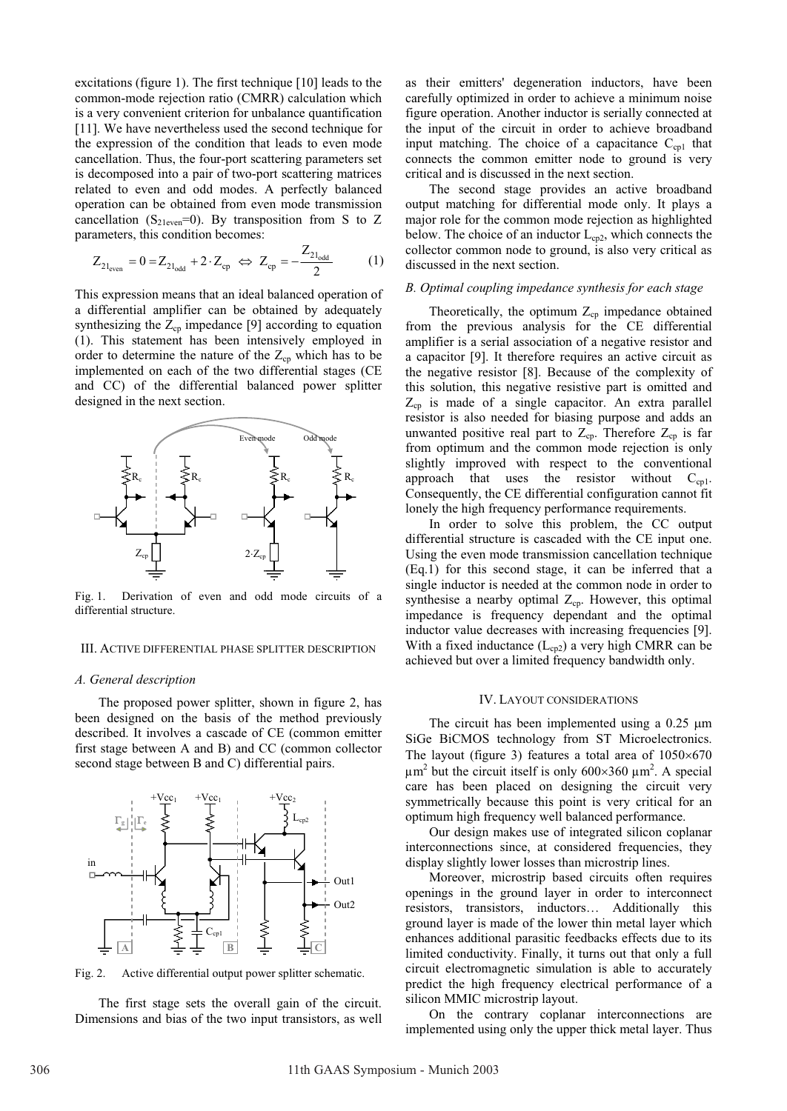excitations (figure 1). The first technique [10] leads to the common-mode rejection ratio (CMRR) calculation which is a very convenient criterion for unbalance quantification [11]. We have nevertheless used the second technique for the expression of the condition that leads to even mode cancellation. Thus, the four-port scattering parameters set is decomposed into a pair of two-port scattering matrices related to even and odd modes. A perfectly balanced operation can be obtained from even mode transmission cancellation (S<sub>21even</sub>=0). By transposition from S to Z parameters, this condition becomes:

$$
Z_{21_{\text{even}}} = 0 = Z_{21_{\text{odd}}} + 2 \cdot Z_{\text{cp}} \iff Z_{\text{cp}} = -\frac{Z_{21_{\text{odd}}}}{2} \tag{1}
$$

This expression means that an ideal balanced operation of a differential amplifier can be obtained by adequately synthesizing the  $Z_{cp}$  impedance [9] according to equation (1). This statement has been intensively employed in order to determine the nature of the  $Z_{cp}$  which has to be implemented on each of the two differential stages (CE and CC) of the differential balanced power splitter designed in the next section.



Fig. 1. Derivation of even and odd mode circuits of a differential structure.

## III. ACTIVE DIFFERENTIAL PHASE SPLITTER DESCRIPTION

#### *A. General description*

The proposed power splitter, shown in figure 2, has been designed on the basis of the method previously described. It involves a cascade of CE (common emitter first stage between A and B) and CC (common collector second stage between B and C) differential pairs.



Fig. 2. Active differential output power splitter schematic.

The first stage sets the overall gain of the circuit. Dimensions and bias of the two input transistors, as well as their emitters' degeneration inductors, have been carefully optimized in order to achieve a minimum noise figure operation. Another inductor is serially connected at the input of the circuit in order to achieve broadband input matching. The choice of a capacitance  $C_{\rm cpl}$  that connects the common emitter node to ground is very critical and is discussed in the next section.

The second stage provides an active broadband output matching for differential mode only. It plays a major role for the common mode rejection as highlighted below. The choice of an inductor  $L_{cp2}$ , which connects the collector common node to ground, is also very critical as discussed in the next section.

#### *B. Optimal coupling impedance synthesis for each stage*

Theoretically, the optimum  $Z_{cp}$  impedance obtained from the previous analysis for the CE differential amplifier is a serial association of a negative resistor and a capacitor [9]. It therefore requires an active circuit as the negative resistor [8]. Because of the complexity of this solution, this negative resistive part is omitted and  $Z_{cp}$  is made of a single capacitor. An extra parallel resistor is also needed for biasing purpose and adds an unwanted positive real part to  $Z_{cp}$ . Therefore  $Z_{cp}$  is far from optimum and the common mode rejection is only slightly improved with respect to the conventional approach that uses the resistor without  $C_{cn}$ . Consequently, the CE differential configuration cannot fit lonely the high frequency performance requirements.

In order to solve this problem, the CC output differential structure is cascaded with the CE input one. Using the even mode transmission cancellation technique (Eq.1) for this second stage, it can be inferred that a single inductor is needed at the common node in order to synthesise a nearby optimal  $Z_{cp}$ . However, this optimal impedance is frequency dependant and the optimal inductor value decreases with increasing frequencies [9]. With a fixed inductance  $(L_{cp2})$  a very high CMRR can be achieved but over a limited frequency bandwidth only.

#### IV. LAYOUT CONSIDERATIONS

The circuit has been implemented using a  $0.25 \mu m$ SiGe BiCMOS technology from ST Microelectronics. The layout (figure 3) features a total area of  $1050 \times 670$  $\mu$ m<sup>2</sup> but the circuit itself is only 600×360  $\mu$ m<sup>2</sup>. A special care has been placed on designing the circuit very symmetrically because this point is very critical for an optimum high frequency well balanced performance.

Our design makes use of integrated silicon coplanar interconnections since, at considered frequencies, they display slightly lower losses than microstrip lines.

Moreover, microstrip based circuits often requires openings in the ground layer in order to interconnect resistors, transistors, inductors… Additionally this ground layer is made of the lower thin metal layer which enhances additional parasitic feedbacks effects due to its limited conductivity. Finally, it turns out that only a full circuit electromagnetic simulation is able to accurately predict the high frequency electrical performance of a silicon MMIC microstrip layout.

On the contrary coplanar interconnections are implemented using only the upper thick metal layer. Thus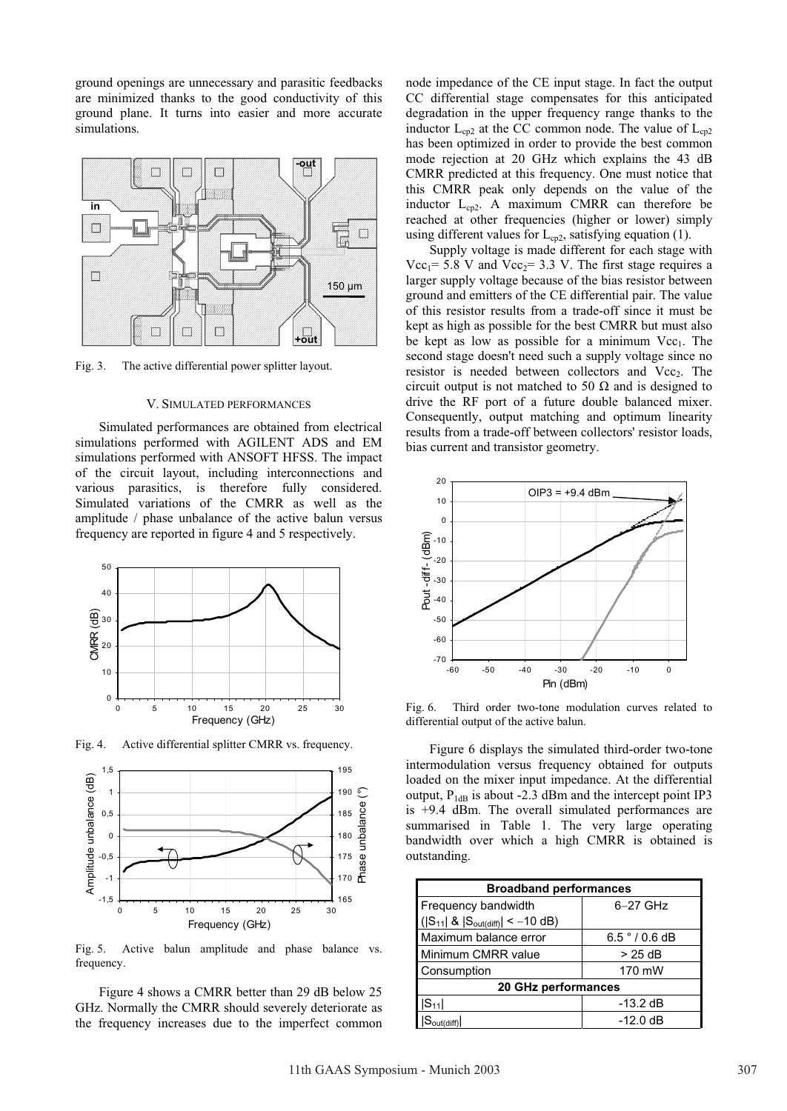ground openings are unnecessary and parasitic feedbacks are minimized thanks to the good conductivity of this ground plane. It turns into easier and more accurate simulations.



Fig. 3. The active differential power splitter layout.

## V. SIMULATED PERFORMANCES

Simulated performances are obtained from electrical simulations performed with AGILENT ADS and EM simulations performed with ANSOFT HFSS. The impact of the circuit layout, including interconnections and various parasitics, is therefore fully considered. Simulated variations of the CMRR as well as the amplitude / phase unbalance of the active balun versus frequency are reported in figure 4 and 5 respectively.



Fig. 4. Active differential splitter CMRR vs. frequency.



Fig. 5. Active balun amplitude and phase balance vs. frequency.

Figure 4 shows a CMRR better than 29 dB below 25 GHz. Normally the CMRR should severely deteriorate as the frequency increases due to the imperfect common node impedance of the CE input stage. In fact the output CC differential stage compensates for this anticipated degradation in the upper frequency range thanks to the inductor  $L_{cp2}$  at the CC common node. The value of  $L_{cp2}$ has been optimized in order to provide the best common mode rejection at 20 GHz which explains the 43 dB CMRR predicted at this frequency. One must notice that this CMRR peak only depends on the value of the inductor  $L_{cp2}$ . A maximum CMRR can therefore be reached at other frequencies (higher or lower) simply using different values for  $L_{cp2}$ , satisfying equation (1).

Supply voltage is made different for each stage with Vcc<sub>1</sub>= 5.8 V and Vcc<sub>2</sub>= 3.3 V. The first stage requires a larger supply voltage because of the bias resistor between ground and emitters of the CE differential pair. The value of this resistor results from a trade-off since it must be kept as high as possible for the best CMRR but must also be kept as low as possible for a minimum  $Vec<sub>1</sub>$ . The second stage doesn't need such a supply voltage since no resistor is needed between collectors and Vcc<sub>2</sub>. The circuit output is not matched to 50  $\Omega$  and is designed to drive the RF port of a future double balanced mixer. Consequently, output matching and optimum linearity results from a trade-off between collectors' resistor loads, bias current and transistor geometry.



Fig. 6. Third order two-tone modulation curves related to differential output of the active balun.

Figure 6 displays the simulated third-order two-tone intermodulation versus frequency obtained for outputs loaded on the mixer input impedance. At the differential output,  $P_{1dB}$  is about -2.3 dBm and the intercept point IP3 is +9.4 dBm. The overall simulated performances are summarised in Table 1. The very large operating bandwidth over which a high CMRR is obtained is outstanding.

| <b>Broadband performances</b>                           |              |
|---------------------------------------------------------|--------------|
| Frequency bandwidth                                     | $6-27$ GHz   |
| $( S_{11}  \&  S_{\text{out(diff)}}  < -10 \text{ dB})$ |              |
| Maximum balance error                                   | 6.5 °/0.6 dB |
| Minimum CMRR value                                      | $>25$ dB     |
| Consumption                                             | 170 mW       |
| 20 GHz performances                                     |              |
| $ S_{11} $                                              | $-13.2$ dB   |
| $5_{\text{out(diff)}}$                                  | $-12.0$ dB   |